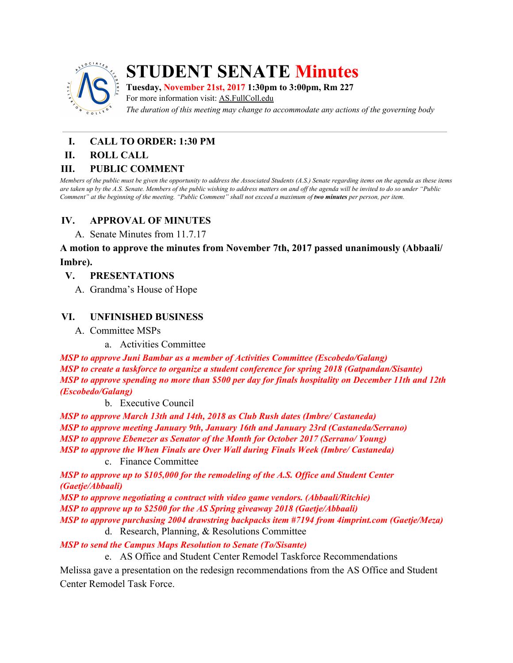

## **STUDENT SENATE Minutes**

**Tuesday, November 21st, 2017 1:30pm to 3:00pm, Rm 227** For more information visit: AS.FullColl.edu

*The duration of this meeting may change to accommodate any actions of the governing body*

# **I. CALL TO ORDER: 1:30 PM**

#### **II. ROLL CALL**

#### **III. PUBLIC COMMENT**

Members of the public must be given the opportunity to address the Associated Students (A.S.) Senate regarding items on the agenda as these items are taken up by the A.S. Senate. Members of the public wishing to address matters on and off the agenda will be invited to do so under "Public Comment" at the beginning of the meeting. "Public Comment" shall not exceed a maximum of two minutes per person, per item.

#### **IV. APPROVAL OF MINUTES**

A. Senate Minutes from 11.7.17

**A motion to approve the minutes from November 7th, 2017 passed unanimously (Abbaali/ Imbre).**

#### **V. PRESENTATIONS**

A. Grandma's House of Hope

#### **VI. UNFINISHED BUSINESS**

- A. Committee MSPs
	- a. Activities Committee

*MSP to approve Juni Bambar as a member of Activities Committee (Escobedo/Galang) MSP to create a taskforce to organize a student conference for spring 2018 (Gatpandan/Sisante) MSP to approve spending no more than \$500 per day for finals hospitality on December 11th and 12th (Escobedo/Galang)*

b. Executive Council

*MSP to approve March 13th and 14th, 2018 as Club Rush dates (Imbre/ Castaneda) MSP to approve meeting January 9th, January 16th and January 23rd (Castaneda/Serrano) MSP to approve Ebenezer as Senator of the Month for October 2017 (Serrano/ Young) MSP to approve the When Finals are Over Wall during Finals Week (Imbre/ Castaneda)*

c. Finance Committee

*MSP to approve up to \$105,000 for the remodeling of the A.S. Of ice and Student Center (Gaetje/Abbaali)*

*MSP to approve negotiating a contract with video game vendors. (Abbaali/Ritchie) MSP to approve up to \$2500 for the AS Spring giveaway 2018 (Gaetje/Abbaali) MSP to approve purchasing 2004 drawstring backpacks item #7194 from 4imprint.com (Gaetje/Meza)*

d. Research, Planning, & Resolutions Committee

*MSP to send the Campus Maps Resolution to Senate (To/Sisante)*

e. AS Office and Student Center Remodel Taskforce Recommendations

Melissa gave a presentation on the redesign recommendations from the AS Office and Student Center Remodel Task Force.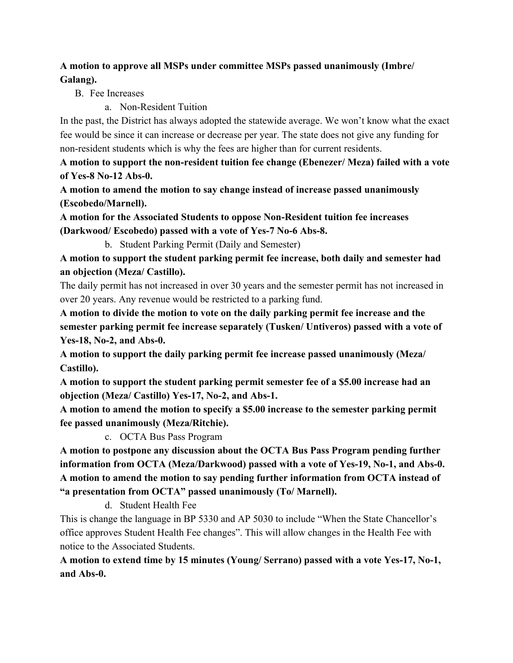## **A motion to approve all MSPs under committee MSPs passed unanimously (Imbre/ Galang).**

B. Fee Increases

a. Non-Resident Tuition

In the past, the District has always adopted the statewide average. We won't know what the exact fee would be since it can increase or decrease per year. The state does not give any funding for non-resident students which is why the fees are higher than for current residents.

**A motion to support the non-resident tuition fee change (Ebenezer/ Meza) failed with a vote of Yes-8 No-12 Abs-0.**

**A motion to amend the motion to say change instead of increase passed unanimously (Escobedo/Marnell).**

**A motion for the Associated Students to oppose Non-Resident tuition fee increases (Darkwood/ Escobedo) passed with a vote of Yes-7 No-6 Abs-8.**

b. Student Parking Permit (Daily and Semester)

**A motion to support the student parking permit fee increase, both daily and semester had an objection (Meza/ Castillo).**

The daily permit has not increased in over 30 years and the semester permit has not increased in over 20 years. Any revenue would be restricted to a parking fund.

**A motion to divide the motion to vote on the daily parking permit fee increase and the semester parking permit fee increase separately (Tusken/ Untiveros) passed with a vote of Yes-18, No-2, and Abs-0.**

**A motion to support the daily parking permit fee increase passed unanimously (Meza/ Castillo).**

**A motion to support the student parking permit semester fee of a \$5.00 increase had an objection (Meza/ Castillo) Yes-17, No-2, and Abs-1.**

**A motion to amend the motion to specify a \$5.00 increase to the semester parking permit fee passed unanimously (Meza/Ritchie).**

c. OCTA Bus Pass Program

**A motion to postpone any discussion about the OCTA Bus Pass Program pending further information from OCTA (Meza/Darkwood) passed with a vote of Yes-19, No-1, and Abs-0. A motion to amend the motion to say pending further information from OCTA instead of "a presentation from OCTA" passed unanimously (To/ Marnell).**

d. Student Health Fee

This is change the language in BP 5330 and AP 5030 to include "When the State Chancellor's office approves Student Health Fee changes". This will allow changes in the Health Fee with notice to the Associated Students.

**A motion to extend time by 15 minutes (Young/ Serrano) passed with a vote Yes-17, No-1, and Abs-0.**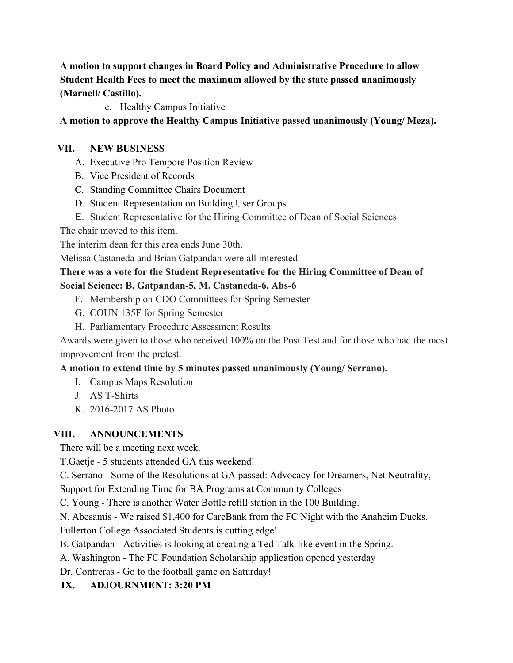**A motion to support changes in Board Policy and Administrative Procedure to allow Student Health Fees to meet the maximum allowed by the state passed unanimously (Marnell/ Castillo).**

e. Healthy Campus Initiative

## **A motion to approve the Healthy Campus Initiative passed unanimously (Young/ Meza).**

### **VII. NEW BUSINESS**

- A. Executive Pro Tempore Position Review
- B. Vice President of Records
- C. Standing Committee Chairs Document
- D. Student Representation on Building User Groups
- E. Student Representative for the Hiring Committee of Dean of Social Sciences

The chair moved to this item.

The interim dean for this area ends June 30th.

Melissa Castaneda and Brian Gatpandan were all interested.

## **There was a vote for the Student Representative for the Hiring Committee of Dean of Social Science: B. Gatpandan-5, M. Castaneda-6, Abs-6**

- F. Membership on CDO Committees for Spring Semester
- G. COUN 135F for Spring Semester
- H. Parliamentary Procedure Assessment Results

Awards were given to those who received 100% on the Post Test and for those who had the most improvement from the pretest.

## **A motion to extend time by 5 minutes passed unanimously (Young/ Serrano).**

- I. Campus Maps Resolution
- J. AS T-Shirts
- K. 2016-2017 AS Photo

#### **VIII. ANNOUNCEMENTS**

There will be a meeting next week.

T.Gaetje - 5 students attended GA this weekend!

C. Serrano - Some of the Resolutions at GA passed: Advocacy for Dreamers, Net Neutrality,

Support for Extending Time for BA Programs at Community Colleges

C. Young - There is another Water Bottle refill station in the 100 Building.

N. Abesamis - We raised \$1,400 for CareBank from the FC Night with the Anaheim Ducks.

Fullerton College Associated Students is cutting edge!

B. Gatpandan - Activities is looking at creating a Ted Talk-like event in the Spring.

A. Washington - The FC Foundation Scholarship application opened yesterday

Dr. Contreras - Go to the football game on Saturday!

## **IX. ADJOURNMENT: 3:20 PM**